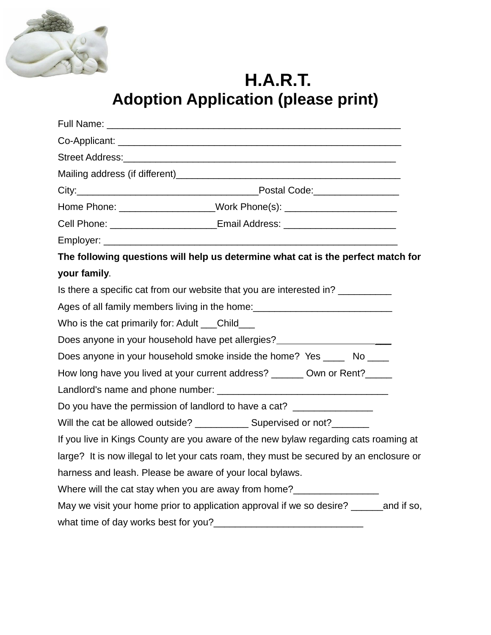

**H.A.R.T. Adoption Application (please print)**

| Full Name:                                                                                           |  |  |  |  |
|------------------------------------------------------------------------------------------------------|--|--|--|--|
|                                                                                                      |  |  |  |  |
|                                                                                                      |  |  |  |  |
|                                                                                                      |  |  |  |  |
|                                                                                                      |  |  |  |  |
| Home Phone: ______________________Work Phone(s): _______________________________                     |  |  |  |  |
| Cell Phone: _________________________Email Address: ____________________________                     |  |  |  |  |
|                                                                                                      |  |  |  |  |
| The following questions will help us determine what cat is the perfect match for                     |  |  |  |  |
| your family.                                                                                         |  |  |  |  |
| Is there a specific cat from our website that you are interested in?                                 |  |  |  |  |
| Ages of all family members living in the home: <b>Ages</b> of all family members living in the home: |  |  |  |  |
| Who is the cat primarily for: Adult Child                                                            |  |  |  |  |
| Does anyone in your household have pet allergies?                                                    |  |  |  |  |
| Does anyone in your household smoke inside the home? Yes ______ No _____                             |  |  |  |  |
| How long have you lived at your current address? _______ Own or Rent?_____                           |  |  |  |  |
|                                                                                                      |  |  |  |  |
| Do you have the permission of landlord to have a cat? __________________                             |  |  |  |  |
| Will the cat be allowed outside? ______________ Supervised or not?________                           |  |  |  |  |
| If you live in Kings County are you aware of the new bylaw regarding cats roaming at                 |  |  |  |  |
| large? It is now illegal to let your cats roam, they must be secured by an enclosure or              |  |  |  |  |
| harness and leash. Please be aware of your local bylaws.                                             |  |  |  |  |
| Where will the cat stay when you are away from home?____________________________                     |  |  |  |  |
| May we visit your home prior to application approval if we so desire? _______ and if so,             |  |  |  |  |
|                                                                                                      |  |  |  |  |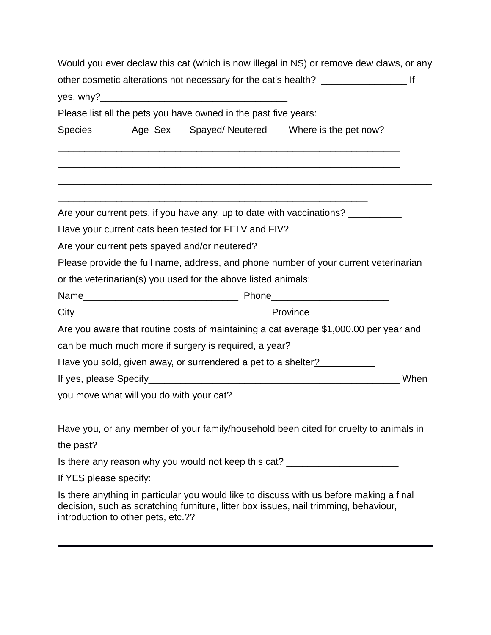| Would you ever declaw this cat (which is now illegal in NS) or remove dew claws, or any |                                          |                                                                                  |                                                                                                                                                                                 |      |  |
|-----------------------------------------------------------------------------------------|------------------------------------------|----------------------------------------------------------------------------------|---------------------------------------------------------------------------------------------------------------------------------------------------------------------------------|------|--|
|                                                                                         |                                          |                                                                                  |                                                                                                                                                                                 |      |  |
|                                                                                         |                                          |                                                                                  |                                                                                                                                                                                 |      |  |
|                                                                                         |                                          | Please list all the pets you have owned in the past five years:                  |                                                                                                                                                                                 |      |  |
| <b>Species</b>                                                                          |                                          |                                                                                  | Age Sex Spayed/Neutered Where is the pet now?                                                                                                                                   |      |  |
|                                                                                         |                                          |                                                                                  |                                                                                                                                                                                 |      |  |
|                                                                                         |                                          |                                                                                  | Are your current pets, if you have any, up to date with vaccinations?                                                                                                           |      |  |
|                                                                                         |                                          | Have your current cats been tested for FELV and FIV?                             |                                                                                                                                                                                 |      |  |
|                                                                                         |                                          | Are your current pets spayed and/or neutered? __________________________________ |                                                                                                                                                                                 |      |  |
|                                                                                         |                                          |                                                                                  | Please provide the full name, address, and phone number of your current veterinarian                                                                                            |      |  |
|                                                                                         |                                          | or the veterinarian(s) you used for the above listed animals:                    |                                                                                                                                                                                 |      |  |
|                                                                                         |                                          |                                                                                  |                                                                                                                                                                                 |      |  |
|                                                                                         |                                          |                                                                                  |                                                                                                                                                                                 |      |  |
|                                                                                         |                                          |                                                                                  | Are you aware that routine costs of maintaining a cat average \$1,000.00 per year and                                                                                           |      |  |
|                                                                                         |                                          | can be much much more if surgery is required, a year?                            |                                                                                                                                                                                 |      |  |
|                                                                                         |                                          |                                                                                  | Have you sold, given away, or surrendered a pet to a shelter?                                                                                                                   |      |  |
|                                                                                         |                                          |                                                                                  |                                                                                                                                                                                 | When |  |
|                                                                                         | you move what will you do with your cat? |                                                                                  |                                                                                                                                                                                 |      |  |
|                                                                                         |                                          |                                                                                  | Have you, or any member of your family/household been cited for cruelty to animals in                                                                                           |      |  |
|                                                                                         |                                          |                                                                                  |                                                                                                                                                                                 |      |  |
|                                                                                         |                                          |                                                                                  | Is there any reason why you would not keep this cat? ___________________________                                                                                                |      |  |
|                                                                                         |                                          |                                                                                  |                                                                                                                                                                                 |      |  |
|                                                                                         | introduction to other pets, etc.??       |                                                                                  | Is there anything in particular you would like to discuss with us before making a final<br>decision, such as scratching furniture, litter box issues, nail trimming, behaviour, |      |  |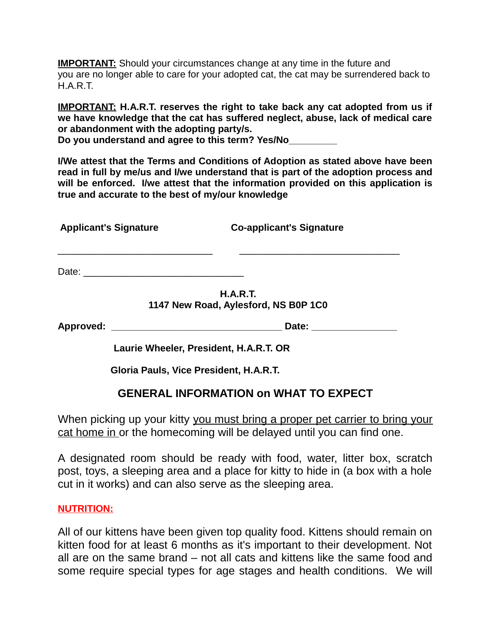**IMPORTANT:** Should your circumstances change at any time in the future and you are no longer able to care for your adopted cat, the cat may be surrendered back to H.A.R.T.

**IMPORTANT: H.A.R.T. reserves the right to take back any cat adopted from us if we have knowledge that the cat has suffered neglect, abuse, lack of medical care or abandonment with the adopting party/s. Do you understand and agree to this term? Yes/No\_\_\_\_\_\_\_\_\_**

**I/We attest that the Terms and Conditions of Adoption as stated above have been read in full by me/us and I/we understand that is part of the adoption process and will be enforced. I/we attest that the information provided on this application is true and accurate to the best of my/our knowledge**

 **Applicant's Signature Co-applicant's Signature**

Date: \_\_\_\_\_\_\_\_\_\_\_\_\_\_\_\_\_\_\_\_\_\_\_\_\_\_\_\_\_\_

**H.A.R.T. 1147 New Road, Aylesford, NS B0P 1C0**

 $\mathcal{L}_\text{max}$  , and the contribution of the contribution of the contribution of the contribution of the contribution of the contribution of the contribution of the contribution of the contribution of the contribution of t

**Approved: \_\_\_\_\_\_\_\_\_\_\_\_\_\_\_\_\_\_\_\_\_\_\_\_\_\_\_\_\_\_\_\_ Date: \_\_\_\_\_\_\_\_\_\_\_\_\_\_\_\_**

 **Laurie Wheeler, President, H.A.R.T. OR**

 **Gloria Pauls, Vice President, H.A.R.T.**

# **GENERAL INFORMATION on WHAT TO EXPECT**

When picking up your kitty you must bring a proper pet carrier to bring your cat home in or the homecoming will be delayed until you can find one.

A designated room should be ready with food, water, litter box, scratch post, toys, a sleeping area and a place for kitty to hide in (a box with a hole cut in it works) and can also serve as the sleeping area.

#### **NUTRITION:**

All of our kittens have been given top quality food. Kittens should remain on kitten food for at least 6 months as it's important to their development. Not all are on the same brand – not all cats and kittens like the same food and some require special types for age stages and health conditions. We will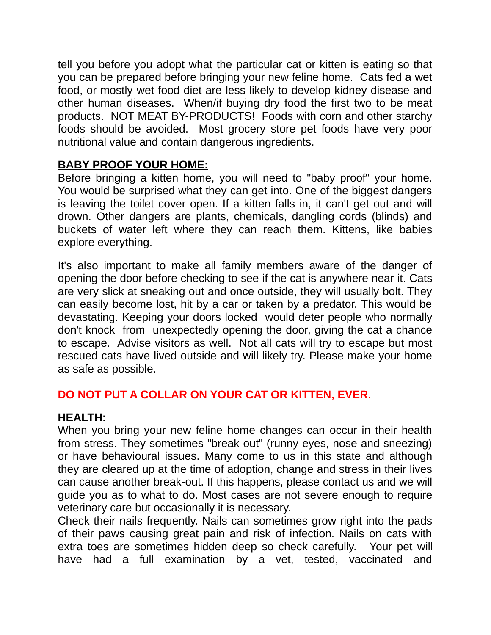tell you before you adopt what the particular cat or kitten is eating so that you can be prepared before bringing your new feline home. Cats fed a wet food, or mostly wet food diet are less likely to develop kidney disease and other human diseases. When/if buying dry food the first two to be meat products. NOT MEAT BY-PRODUCTS! Foods with corn and other starchy foods should be avoided. Most grocery store pet foods have very poor nutritional value and contain dangerous ingredients.

### **BABY PROOF YOUR HOME:**

Before bringing a kitten home, you will need to "baby proof" your home. You would be surprised what they can get into. One of the biggest dangers is leaving the toilet cover open. If a kitten falls in, it can't get out and will drown. Other dangers are plants, chemicals, dangling cords (blinds) and buckets of water left where they can reach them. Kittens, like babies explore everything.

It's also important to make all family members aware of the danger of opening the door before checking to see if the cat is anywhere near it. Cats are very slick at sneaking out and once outside, they will usually bolt. They can easily become lost, hit by a car or taken by a predator. This would be devastating. Keeping your doors locked would deter people who normally don't knock from unexpectedly opening the door, giving the cat a chance to escape. Advise visitors as well. Not all cats will try to escape but most rescued cats have lived outside and will likely try. Please make your home as safe as possible.

## **DO NOT PUT A COLLAR ON YOUR CAT OR KITTEN, EVER.**

### **HEALTH:**

When you bring your new feline home changes can occur in their health from stress. They sometimes "break out" (runny eyes, nose and sneezing) or have behavioural issues. Many come to us in this state and although they are cleared up at the time of adoption, change and stress in their lives can cause another break-out. If this happens, please contact us and we will guide you as to what to do. Most cases are not severe enough to require veterinary care but occasionally it is necessary.

Check their nails frequently. Nails can sometimes grow right into the pads of their paws causing great pain and risk of infection. Nails on cats with extra toes are sometimes hidden deep so check carefully. Your pet will have had a full examination by a vet, tested, vaccinated and